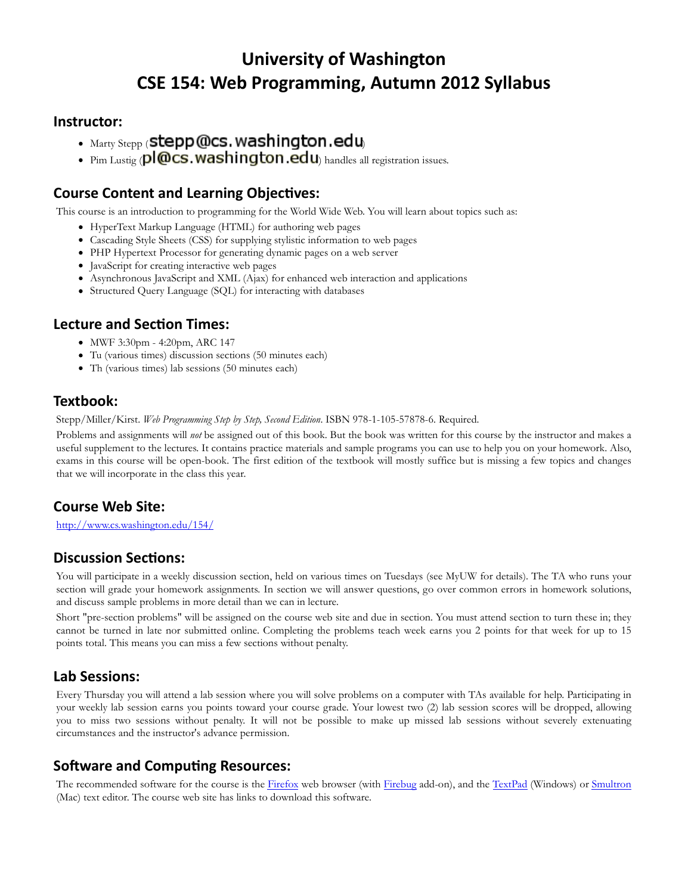# University of Washington CSE 154: Web Programming, Autumn 2012 Syllabus

#### Instructor:

- $\bullet$  Marty Stepp ( $\bullet$  Stepp @cs. washington.edu
- Pim Lustig ( $p$  $\omega$ cs. washington.edu handles all registration issues.

#### Course Content and Learning Objectives:

This course is an introduction to programming for the World Wide Web. You will learn about topics such as:

- HyperText Markup Language (HTML) for authoring web pages
- Cascading Style Sheets (CSS) for supplying stylistic information to web pages
- PHP Hypertext Processor for generating dynamic pages on a web server
- JavaScript for creating interactive web pages
- Asynchronous JavaScript and XML (Ajax) for enhanced web interaction and applications
- Structured Query Language (SQL) for interacting with databases

#### Lecture and Section Times:

- MWF 3:30pm 4:20pm, ARC 147
- Tu (various times) discussion sections (50 minutes each)
- Th (various times) lab sessions (50 minutes each)

#### Textbook:

Stepp/Miller/Kirst. Web Programming Step by Step, Second Edition. ISBN 978-1-105-57878-6. Required.

Problems and assignments will not be assigned out of this book. But the book was written for this course by the instructor and makes a useful supplement to the lectures. It contains practice materials and sample programs you can use to help you on your homework. Also, exams in this course will be open-book. The first edition of the textbook will mostly suffice but is missing a few topics and changes that we will incorporate in the class this year.

#### Course Web Site:

http://www.cs.washington.edu/154/

# **Discussion Sections:**

You will participate in a weekly discussion section, held on various times on Tuesdays (see MyUW for details). The TA who runs your section will grade your homework assignments. In section we will answer questions, go over common errors in homework solutions, and discuss sample problems in more detail than we can in lecture.

Short "pre-section problems" will be assigned on the course web site and due in section. You must attend section to turn these in; they cannot be turned in late nor submitted online. Completing the problems teach week earns you 2 points for that week for up to 15 points total. This means you can miss a few sections without penalty.

#### Lab Sessions:

Every Thursday you will attend a lab session where you will solve problems on a computer with TAs available for help. Participating in your weekly lab session earns you points toward your course grade. Your lowest two (2) lab session scores will be dropped, allowing you to miss two sessions without penalty. It will not be possible to make up missed lab sessions without severely extenuating circumstances and the instructor's advance permission.

# Software and Computing Resources:

The recommended software for the course is the Firefox web browser (with Firebug add-on), and the TextPad (Windows) or Smultron (Mac) text editor. The course web site has links to download this software.